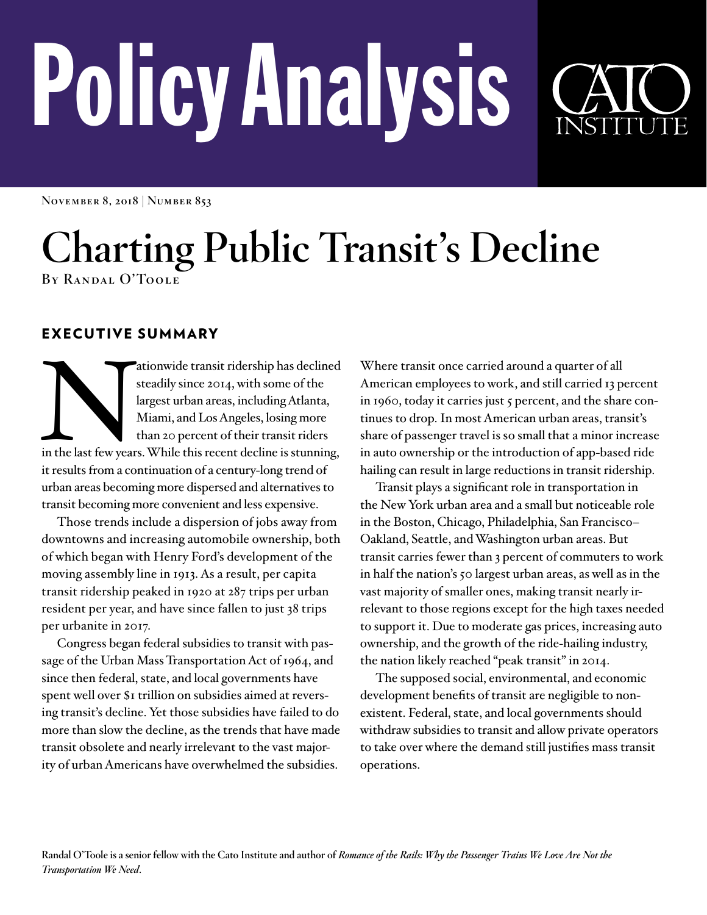# PolicyAnalysis



**November 8, 2018 | Number 853**

# **Charting Public Transit's Decline By Randal O'Toole**

EXECUTIVE SUMMARY

ationwide transit ridership has declined<br>steadily since 2014, with some of the<br>largest urban areas, including Atlanta,<br>Miami, and Los Angeles, losing more<br>than 20 percent of their transit riders<br>in the last few years. Whil steadily since 2014, with some of the largest urban areas, including Atlanta, Miami, and Los Angeles, losing more than 20 percent of their transit riders it results from a continuation of a century-long trend of urban areas becoming more dispersed and alternatives to transit becoming more convenient and less expensive.

Those trends include a dispersion of jobs away from downtowns and increasing automobile ownership, both of which began with Henry Ford's development of the moving assembly line in 1913. As a result, per capita transit ridership peaked in 1920 at 287 trips per urban resident per year, and have since fallen to just 38 trips per urbanite in 2017.

Congress began federal subsidies to transit with passage of the Urban Mass Transportation Act of 1964, and since then federal, state, and local governments have spent well over \$1 trillion on subsidies aimed at reversing transit's decline. Yet those subsidies have failed to do more than slow the decline, as the trends that have made transit obsolete and nearly irrelevant to the vast majority of urban Americans have overwhelmed the subsidies.

Where transit once carried around a quarter of all American employees to work, and still carried 13 percent in 1960, today it carries just 5 percent, and the share continues to drop. In most American urban areas, transit's share of passenger travel is so small that a minor increase in auto ownership or the introduction of app-based ride hailing can result in large reductions in transit ridership.

Transit plays a significant role in transportation in the New York urban area and a small but noticeable role in the Boston, Chicago, Philadelphia, San Francisco– Oakland, Seattle, and Washington urban areas. But transit carries fewer than 3 percent of commuters to work in half the nation's 50 largest urban areas, as well as in the vast majority of smaller ones, making transit nearly irrelevant to those regions except for the high taxes needed to support it. Due to moderate gas prices, increasing auto ownership, and the growth of the ride-hailing industry, the nation likely reached "peak transit" in 2014.

The supposed social, environmental, and economic development benefits of transit are negligible to nonexistent. Federal, state, and local governments should withdraw subsidies to transit and allow private operators to take over where the demand still justifies mass transit operations.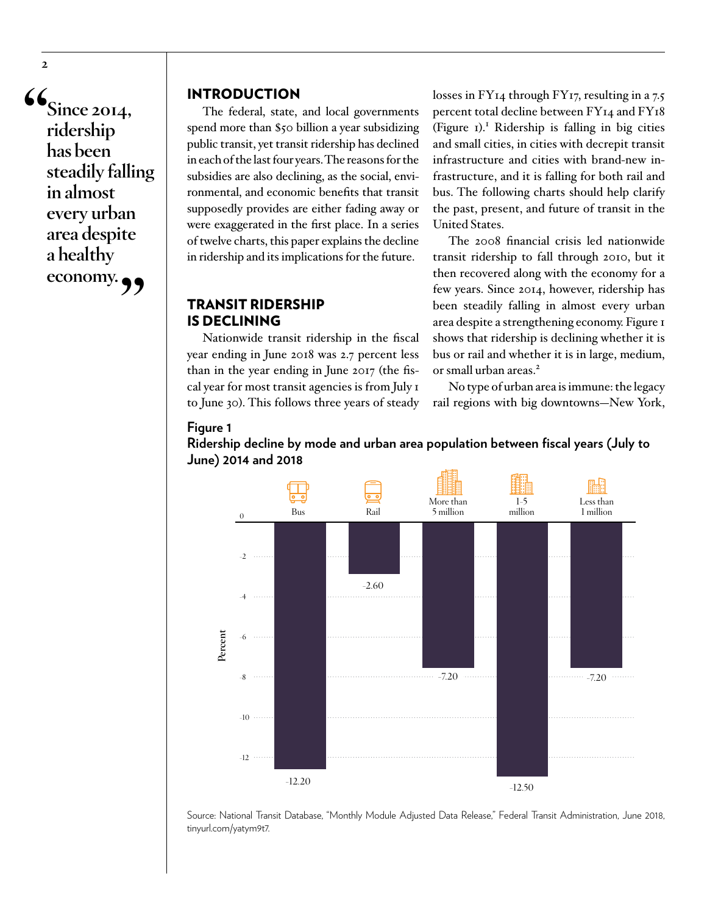$\mathbf{G}_{\text{Since } 2014,}$ **ridership has been steadily falling in almost every urban area despite a healthy economy."**

**2**

### INTRODUCTION

The federal, state, and local governments spend more than \$50 billion a year subsidizing public transit, yet transit ridership has declined in each of the last four years. The reasons for the subsidies are also declining, as the social, environmental, and economic benefits that transit supposedly provides are either fading away or were exaggerated in the first place. In a series of twelve charts, this paper explains the decline in ridership and its implications for the future.

### TRANSIT RIDERSHIP IS DECLINING

**Figure 1**

Nationwide transit ridership in the fiscal year ending in June 2018 was 2.7 percent less than in the year ending in June 2017 (the fiscal year for most transit agencies is from July 1 to June 30). This follows three years of steady losses in FY<sub>14</sub> through FY<sub>17</sub>, resulting in a 7.5 percent total decline between FY14 and FY18 (Figure 1).<sup>1</sup> Ridership is falling in big cities and small cities, in cities with decrepit transit infrastructure and cities with brand-new infrastructure, and it is falling for both rail and bus. The following charts should help clarify the past, present, and future of transit in the United States.

The 2008 financial crisis led nationwide transit ridership to fall through 2010, but it then recovered along with the economy for a few years. Since 2014, however, ridership has been steadily falling in almost every urban area despite a strengthening economy. Figure 1 shows that ridership is declining whether it is bus or rail and whether it is in large, medium, or small urban areas.<sup>2</sup>

No type of urban area is immune: the legacy rail regions with big downtowns—New York,

### **NI** Less than More than 1−5 Bus Rail 5 million million 1 million 0 −2 −2.60 −4 **Percent** −6 −7.20 −7.20  $. . . . . .$ −8 −10 −12 −12.20 −12.50

**Ridership decline by mode and urban area population between fiscal years (July to Figure 1** Ridership decline by mode and urban area population between fiscal years June) 2014 and 2018

Source: National Transit Database, "Monthly Module Adjusted Data Release," Federal Transit Administration, June 2018, [tinyurl.com/yatym9t7.](https://www.transit.dot.gov/ntd/data-product/monthly-module-adjusted-data-release)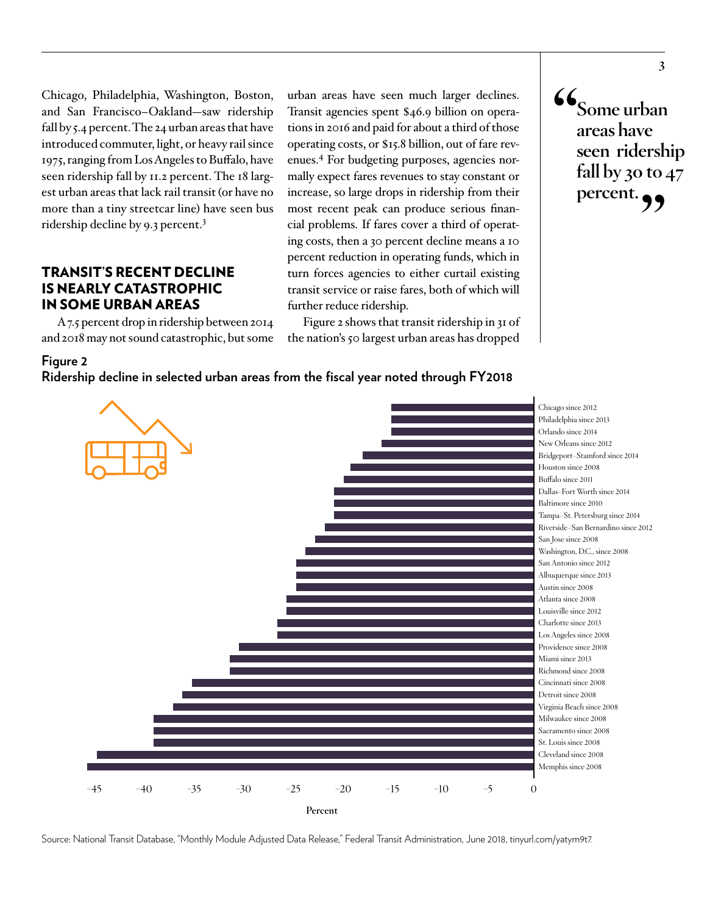Chicago, Philadelphia, Washington, Boston, and San Francisco–Oakland—saw ridership fall by 5.4 percent. The 24 urban areas that have introduced commuter, light, or heavy rail since 1975, ranging from Los Angeles to Buffalo, have seen ridership fall by 11.2 percent. The 18 largest urban areas that lack rail transit (or have no more than a tiny streetcar line) have seen bus ridership decline by 9.3 percent.3

### TRANSIT'S RECENT DECLINE IS NEARLY CATASTROPHIC IN SOME URBAN AREAS

**Figure 2**

A 7.5 percent drop in ridership between 2014 and 2018 may not sound catastrophic, but some urban areas have seen much larger declines. Transit agencies spent \$46.9 billion on operations in 2016 and paid for about a third of those operating costs, or \$15.8 billion, out of fare revenues.4 For budgeting purposes, agencies normally expect fares revenues to stay constant or increase, so large drops in ridership from their most recent peak can produce serious financial problems. If fares cover a third of operating costs, then a 30 percent decline means a 10 percent reduction in operating funds, which in turn forces agencies to either curtail existing transit service or raise fares, both of which will further reduce ridership.

Figure 2 shows that transit ridership in 31 of the nation's 50 largest urban areas has dropped

**"Some urban areas have seen ridership fall by 30 to 47**  percent.



Source: National Transit Database, "Monthly Module Adjusted Data Release," Federal Transit Administration, June 2018, [tinyurl.com/yatym9t7.](http://tinyurl.com/yatym9t7)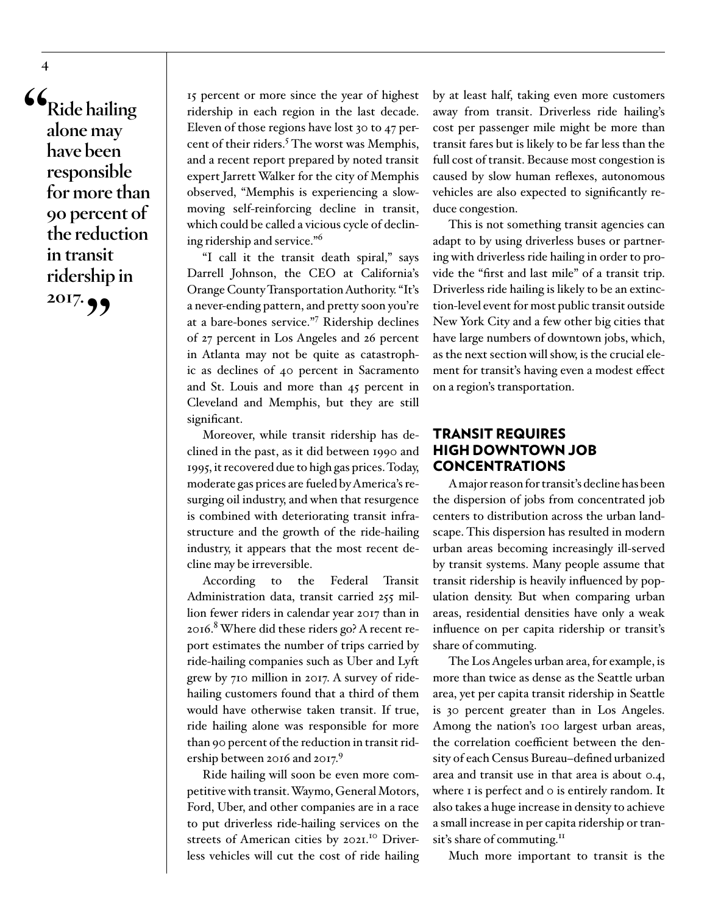**"Ride hailing alone may have been responsible for more than 90 percent of the reduction in transit ridership in 2017."**

15 percent or more since the year of highest ridership in each region in the last decade. Eleven of those regions have lost 30 to 47 percent of their riders.<sup>5</sup> The worst was Memphis, and a recent report prepared by noted transit expert Jarrett Walker for the city of Memphis observed, "Memphis is experiencing a slowmoving self-reinforcing decline in transit, which could be called a vicious cycle of declining ridership and service."<sup>6</sup>

"I call it the transit death spiral," says Darrell Johnson, the CEO at California's Orange County Transportation Authority. "It's a never-ending pattern, and pretty soon you're at a bare-bones service."7 Ridership declines of 27 percent in Los Angeles and 26 percent in Atlanta may not be quite as catastrophic as declines of 40 percent in Sacramento and St. Louis and more than 45 percent in Cleveland and Memphis, but they are still significant.

Moreover, while transit ridership has declined in the past, as it did between 1990 and 1995, it recovered due to high gas prices. Today, moderate gas prices are fueled by America's resurging oil industry, and when that resurgence is combined with deteriorating transit infrastructure and the growth of the ride-hailing industry, it appears that the most recent decline may be irreversible.

According to the Federal Transit Administration data, transit carried 255 million fewer riders in calendar year 2017 than in 2016.<sup>8</sup> Where did these riders go? A recent report estimates the number of trips carried by ride-hailing companies such as Uber and Lyft grew by 710 million in 2017. A survey of ridehailing customers found that a third of them would have otherwise taken transit. If true, ride hailing alone was responsible for more than 90 percent of the reduction in transit ridership between 2016 and 2017.<sup>9</sup>

Ride hailing will soon be even more competitive with transit. Waymo, General Motors, Ford, Uber, and other companies are in a race to put driverless ride-hailing services on the streets of American cities by 2021.<sup>10</sup> Driverless vehicles will cut the cost of ride hailing by at least half, taking even more customers away from transit. Driverless ride hailing's cost per passenger mile might be more than transit fares but is likely to be far less than the full cost of transit. Because most congestion is caused by slow human reflexes, autonomous vehicles are also expected to significantly reduce congestion.

This is not something transit agencies can adapt to by using driverless buses or partnering with driverless ride hailing in order to provide the "first and last mile" of a transit trip. Driverless ride hailing is likely to be an extinction-level event for most public transit outside New York City and a few other big cities that have large numbers of downtown jobs, which, as the next section will show, is the crucial element for transit's having even a modest effect on a region's transportation.

### TRANSIT REQUIRES HIGH DOWNTOWN JOB CONCENTRATIONS

A major reason for transit's decline has been the dispersion of jobs from concentrated job centers to distribution across the urban landscape. This dispersion has resulted in modern urban areas becoming increasingly ill-served by transit systems. Many people assume that transit ridership is heavily influenced by population density. But when comparing urban areas, residential densities have only a weak influence on per capita ridership or transit's share of commuting.

The Los Angeles urban area, for example, is more than twice as dense as the Seattle urban area, yet per capita transit ridership in Seattle is 30 percent greater than in Los Angeles. Among the nation's 100 largest urban areas, the correlation coefficient between the density of each Census Bureau–defined urbanized area and transit use in that area is about 0.4, where I is perfect and o is entirely random. It also takes a huge increase in density to achieve a small increase in per capita ridership or transit's share of commuting.<sup>11</sup>

Much more important to transit is the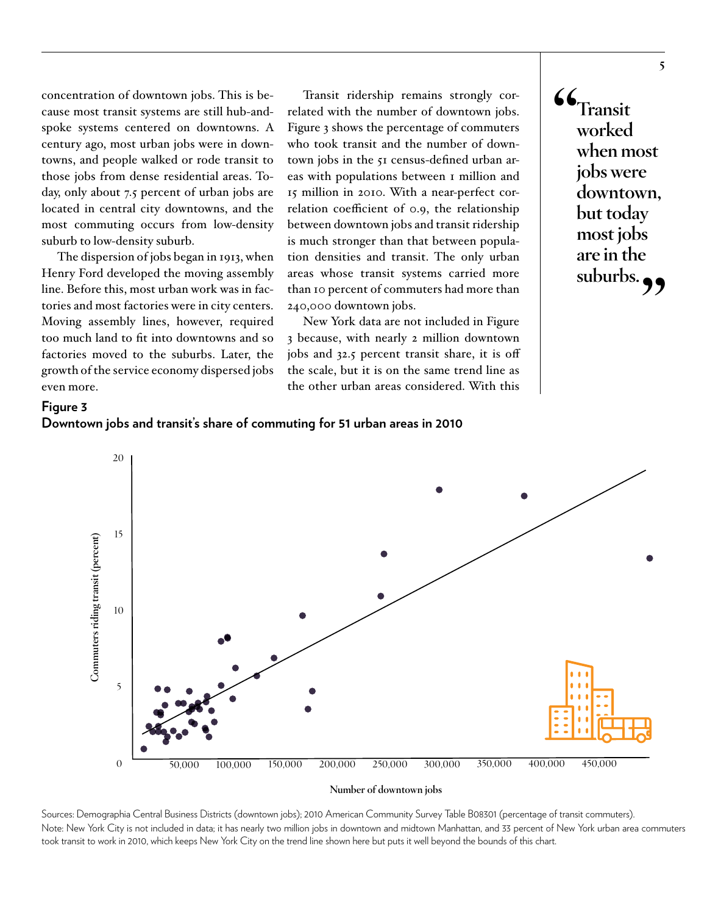concentration of downtown jobs. This is because most transit systems are still hub-andspoke systems centered on downtowns. A century ago, most urban jobs were in downtowns, and people walked or rode transit to those jobs from dense residential areas. Today, only about 7.5 percent of urban jobs are located in central city downtowns, and the most commuting occurs from low-density suburb to low-density suburb.

The dispersion of jobs began in 1913, when Henry Ford developed the moving assembly line. Before this, most urban work was in factories and most factories were in city centers. Moving assembly lines, however, required too much land to fit into downtowns and so factories moved to the suburbs. Later, the growth of the service economy dispersed jobs even more.

Transit ridership remains strongly correlated with the number of downtown jobs. Figure 3 shows the percentage of commuters who took transit and the number of downtown jobs in the 51 census-defined urban areas with populations between 1 million and 15 million in 2010. With a near-perfect correlation coefficient of 0.9, the relationship between downtown jobs and transit ridership is much stronger than that between population densities and transit. The only urban areas whose transit systems carried more than 10 percent of commuters had more than 240,000 downtown jobs.

New York data are not included in Figure 3 because, with nearly 2 million downtown jobs and 32.5 percent transit share, it is off the scale, but it is on the same trend line as the other urban areas considered. With this



### **Figure 3 Downtown jobs and transit's share of commuting for 51 urban areas in 2010**



Sources: Demographia Central Business Districts (downtown jobs); 2010 American Community Survey Table B08301 (percentage of transit commuters). Note: New York City is not included in data; it has nearly two million jobs in downtown and midtown Manhattan, and 33 percent of New York urban area commuters took transit to work in 2010, which keeps New York City on the trend line shown here but puts it well beyond the bounds of this chart.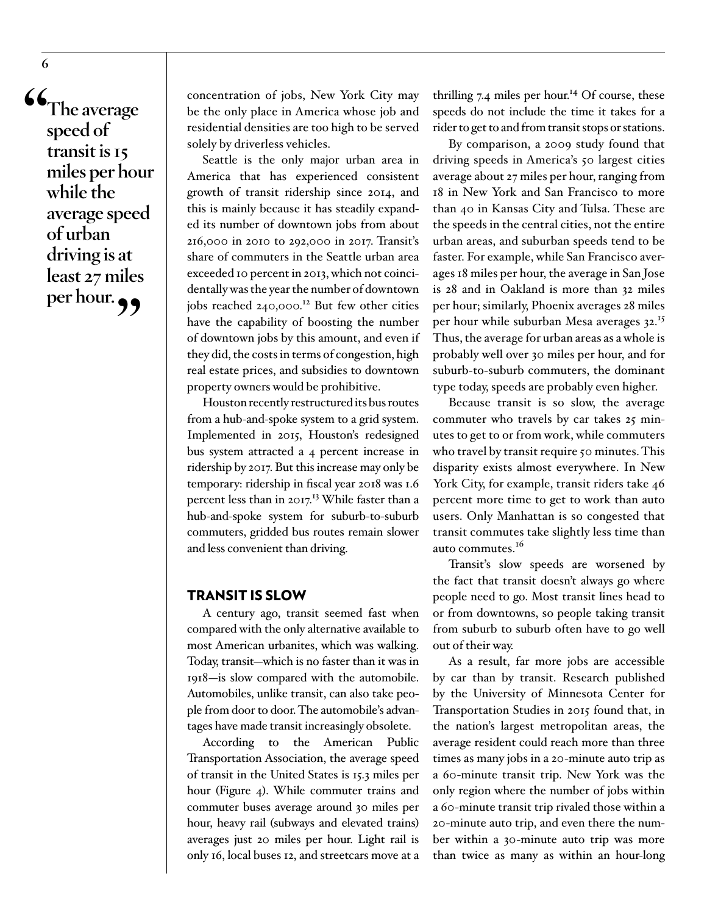**"The average speed of transit is 15 miles per hour while the average speed of urban driving is at least 27 miles**  per hour.

concentration of jobs, New York City may be the only place in America whose job and residential densities are too high to be served solely by driverless vehicles.

Seattle is the only major urban area in America that has experienced consistent growth of transit ridership since 2014, and this is mainly because it has steadily expanded its number of downtown jobs from about 216,000 in 2010 to 292,000 in 2017. Transit's share of commuters in the Seattle urban area exceeded 10 percent in 2013, which not coincidentally was the year the number of downtown jobs reached 240,000.<sup>12</sup> But few other cities have the capability of boosting the number of downtown jobs by this amount, and even if they did, the costs in terms of congestion, high real estate prices, and subsidies to downtown property owners would be prohibitive.

Houston recently restructured its bus routes from a hub-and-spoke system to a grid system. Implemented in 2015, Houston's redesigned bus system attracted a 4 percent increase in ridership by 2017. But this increase may only be temporary: ridership in fiscal year 2018 was 1.6 percent less than in  $2017$ <sup>13</sup> While faster than a hub-and-spoke system for suburb-to-suburb commuters, gridded bus routes remain slower and less convenient than driving.

### TRANSIT IS SLOW

A century ago, transit seemed fast when compared with the only alternative available to most American urbanites, which was walking. Today, transit—which is no faster than it was in 1918—is slow compared with the automobile. Automobiles, unlike transit, can also take people from door to door. The automobile's advantages have made transit increasingly obsolete.

According to the American Public Transportation Association, the average speed of transit in the United States is 15.3 miles per hour (Figure 4). While commuter trains and commuter buses average around 30 miles per hour, heavy rail (subways and elevated trains) averages just 20 miles per hour. Light rail is only 16, local buses 12, and streetcars move at a

thrilling 7.4 miles per hour.<sup>14</sup> Of course, these speeds do not include the time it takes for a rider to get to and from transit stops or stations.

By comparison, a 2009 study found that driving speeds in America's 50 largest cities average about 27 miles per hour, ranging from 18 in New York and San Francisco to more than 40 in Kansas City and Tulsa. These are the speeds in the central cities, not the entire urban areas, and suburban speeds tend to be faster. For example, while San Francisco averages 18 miles per hour, the average in San Jose is 28 and in Oakland is more than 32 miles per hour; similarly, Phoenix averages 28 miles per hour while suburban Mesa averages 32.<sup>15</sup> Thus, the average for urban areas as a whole is probably well over 30 miles per hour, and for suburb-to-suburb commuters, the dominant type today, speeds are probably even higher.

Because transit is so slow, the average commuter who travels by car takes 25 minutes to get to or from work, while commuters who travel by transit require 50 minutes. This disparity exists almost everywhere. In New York City, for example, transit riders take 46 percent more time to get to work than auto users. Only Manhattan is so congested that transit commutes take slightly less time than auto commutes.<sup>16</sup>

Transit's slow speeds are worsened by the fact that transit doesn't always go where people need to go. Most transit lines head to or from downtowns, so people taking transit from suburb to suburb often have to go well out of their way.

As a result, far more jobs are accessible by car than by transit. Research published by the University of Minnesota Center for Transportation Studies in 2015 found that, in the nation's largest metropolitan areas, the average resident could reach more than three times as many jobs in a 20-minute auto trip as a 60-minute transit trip. New York was the only region where the number of jobs within a 60-minute transit trip rivaled those within a 20-minute auto trip, and even there the number within a 30-minute auto trip was more than twice as many as within an hour-long

**6**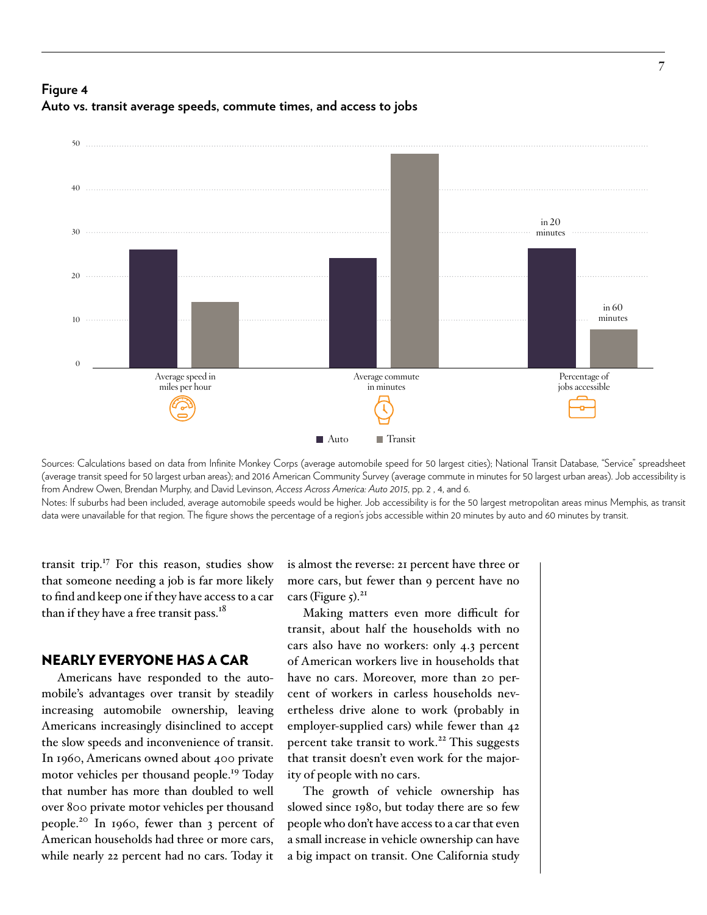# **Figure 4 Auto vs. transit average speeds, commute times, and access to jobs Figure 4** Auto vs. transit average speeds, commute times, and access to jobs



Sources: Calculations based on data from Infinite Monkey Corps (average automobile speed for 50 largest cities); National Transit Database, "Service" spreadsheet (average transit speed for 50 largest urban areas); and 2016 American Community Survey (average commute in minutes for 50 largest urban areas). Job accessibility is from Andrew Owen, Brendan Murphy, and David Levinson, *Access Across America: Auto 2015*, pp. 2 , 4, and 6.

Notes: If suburbs had been included, average automobile speeds would be higher. Job accessibility is for the 50 largest metropolitan areas minus Memphis, as transit data were unavailable for that region. The figure shows the percentage of a region's jobs accessible within 20 minutes by auto and 60 minutes by transit.

transit trip. $17$  For this reason, studies show that someone needing a job is far more likely to find and keep one if they have access to a car than if they have a free transit pass.<sup>18</sup>

### NEARLY EVERYONE HAS A CAR

Americans have responded to the automobile's advantages over transit by steadily increasing automobile ownership, leaving Americans increasingly disinclined to accept the slow speeds and inconvenience of transit. In 1960, Americans owned about 400 private motor vehicles per thousand people.<sup>19</sup> Today that number has more than doubled to well over 800 private motor vehicles per thousand people.20 In 1960, fewer than 3 percent of American households had three or more cars, while nearly 22 percent had no cars. Today it

is almost the reverse: 21 percent have three or more cars, but fewer than 9 percent have no cars (Figure  $5$ ).<sup>21</sup>

Making matters even more difficult for transit, about half the households with no cars also have no workers: only 4.3 percent of American workers live in households that have no cars. Moreover, more than 20 percent of workers in carless households nevertheless drive alone to work (probably in employer-supplied cars) while fewer than 42 percent take transit to work.<sup>22</sup> This suggests that transit doesn't even work for the majority of people with no cars.

The growth of vehicle ownership has slowed since 1980, but today there are so few people who don't have access to a car that even a small increase in vehicle ownership can have a big impact on transit. One California study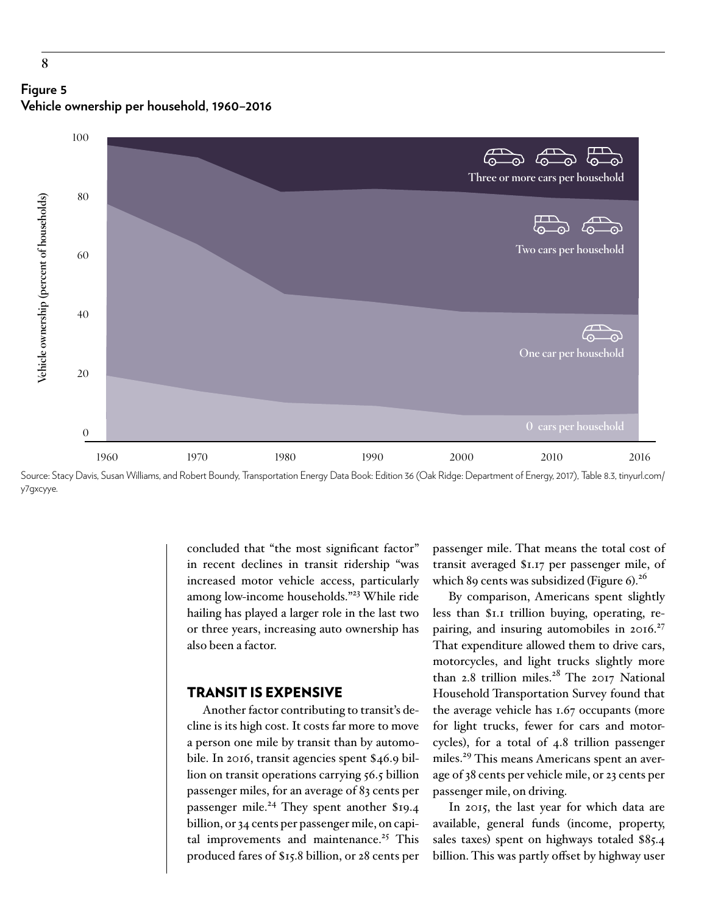



Source: Stacy Davis, Susan Williams, and Robert Boundy, Transportation Energy Data Book: Edition 36 (Oak Ridge: Department of Energy, 2017), Table 8.3, [tinyurl.com/](http://tinyurl.com/y7gxcyye) [y7gxcyye.](http://tinyurl.com/y7gxcyye)

concluded that "the most significant factor" in recent declines in transit ridership "was increased motor vehicle access, particularly among low-income households."23 While ride hailing has played a larger role in the last two or three years, increasing auto ownership has also been a factor.

### TRANSIT IS EXPENSIVE

Another factor contributing to transit's decline is its high cost. It costs far more to move a person one mile by transit than by automobile. In 2016, transit agencies spent \$46.9 billion on transit operations carrying 56.5 billion passenger miles, for an average of 83 cents per passenger mile.<sup>24</sup> They spent another \$19.4 billion, or 34 cents per passenger mile, on capital improvements and maintenance.<sup>25</sup> This produced fares of \$15.8 billion, or 28 cents per

passenger mile. That means the total cost of transit averaged \$1.17 per passenger mile, of which 89 cents was subsidized (Figure 6).<sup>26</sup>

By comparison, Americans spent slightly less than \$1.1 trillion buying, operating, repairing, and insuring automobiles in  $2016.<sup>27</sup>$ That expenditure allowed them to drive cars, motorcycles, and light trucks slightly more than 2.8 trillion miles.<sup>28</sup> The 2017 National Household Transportation Survey found that the average vehicle has 1.67 occupants (more for light trucks, fewer for cars and motorcycles), for a total of 4.8 trillion passenger miles.<sup>29</sup> This means Americans spent an average of 38 cents per vehicle mile, or 23 cents per passenger mile, on driving.

In 2015, the last year for which data are available, general funds (income, property, sales taxes) spent on highways totaled \$85.4 billion. This was partly offset by highway user

**8**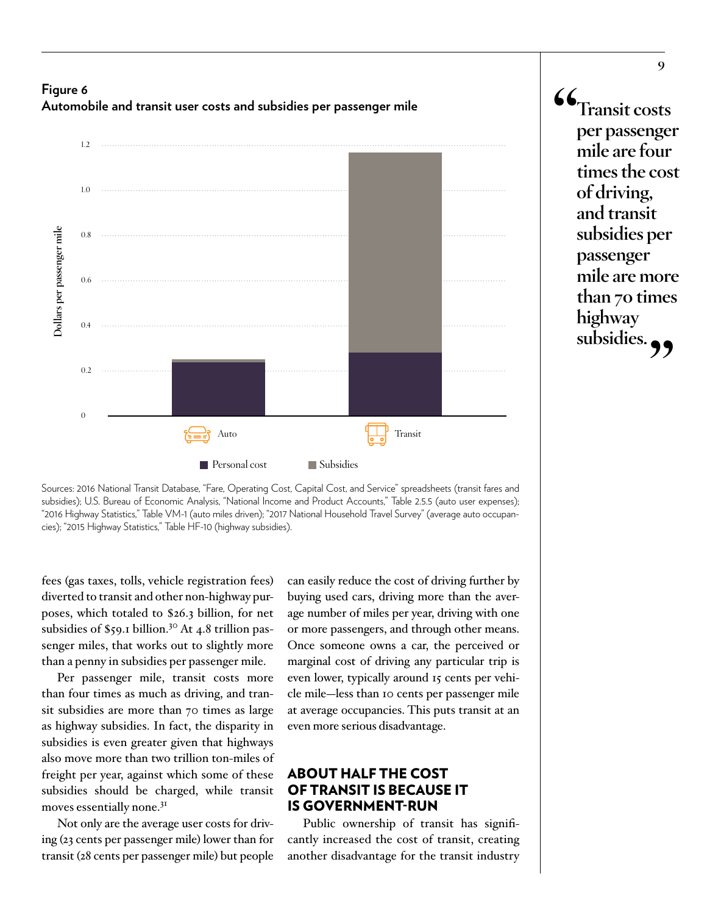



**"Transit costs per passenger mile are four times the cost of driving, and transit subsidies per passenger mile are more than 70 times highway**  subsidies.<sub>??</sub>

Sources: 2016 National Transit Database, "Fare, Operating Cost, Capital Cost, and Service" spreadsheets (transit fares and subsidies); U.S. Bureau of Economic Analysis, "National Income and Product Accounts," Table 2.5.5 (auto user expenses); "2016 Highway Statistics," Table VM-1 (auto miles driven); "2017 National Household Travel Survey" (average auto occupancies); "2015 Highway Statistics," Table HF-10 (highway subsidies).

fees (gas taxes, tolls, vehicle registration fees) diverted to transit and other non-highway purposes, which totaled to \$26.3 billion, for net subsidies of \$59.1 billion.<sup>30</sup> At 4.8 trillion passenger miles, that works out to slightly more than a penny in subsidies per passenger mile.

Per passenger mile, transit costs more than four times as much as driving, and transit subsidies are more than 70 times as large as highway subsidies. In fact, the disparity in subsidies is even greater given that highways also move more than two trillion ton-miles of freight per year, against which some of these subsidies should be charged, while transit moves essentially none.<sup>31</sup>

Not only are the average user costs for driving (23 cents per passenger mile) lower than for transit (28 cents per passenger mile) but people

can easily reduce the cost of driving further by buying used cars, driving more than the average number of miles per year, driving with one or more passengers, and through other means. Once someone owns a car, the perceived or marginal cost of driving any particular trip is even lower, typically around 15 cents per vehicle mile—less than 10 cents per passenger mile at average occupancies. This puts transit at an even more serious disadvantage.

### ABOUT HALF THE COST OF TRANSIT IS BECAUSE IT IS GOVERNMENT-RUN

Public ownership of transit has significantly increased the cost of transit, creating another disadvantage for the transit industry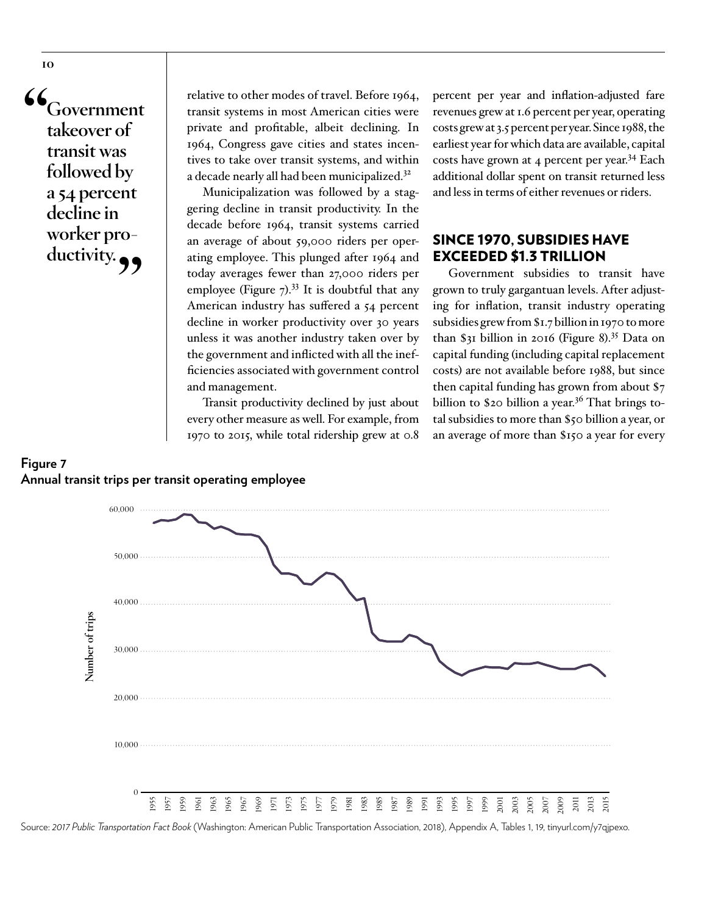**"Government takeover of transit was followed by a 54 percent decline in worker pro**ductivity.

relative to other modes of travel. Before 1964, transit systems in most American cities were private and profitable, albeit declining. In 1964, Congress gave cities and states incentives to take over transit systems, and within a decade nearly all had been municipalized.32

Municipalization was followed by a staggering decline in transit productivity. In the decade before 1964, transit systems carried an average of about 59,000 riders per operating employee. This plunged after 1964 and today averages fewer than 27,000 riders per employee (Figure  $7$ ).<sup>33</sup> It is doubtful that any American industry has suffered a 54 percent decline in worker productivity over 30 years unless it was another industry taken over by the government and inflicted with all the inefficiencies associated with government control and management.

Transit productivity declined by just about every other measure as well. For example, from 1970 to 2015, while total ridership grew at 0.8

percent per year and inflation-adjusted fare revenues grew at 1.6 percent per year, operating costs grew at 3.5 percent per year. Since 1988, the earliest year for which data are available, capital costs have grown at 4 percent per year.<sup>34</sup> Each additional dollar spent on transit returned less and less in terms of either revenues or riders.

### SINCE 1970, SUBSIDIES HAVE EXCEEDED \$1.3 TRILLION

Government subsidies to transit have grown to truly gargantuan levels. After adjusting for inflation, transit industry operating subsidies grew from \$1.7 billion in 1970 to more than \$31 billion in 2016 (Figure 8).35 Data on capital funding (including capital replacement costs) are not available before 1988, but since then capital funding has grown from about \$7 billion to \$20 billion a year.<sup>36</sup> That brings total subsidies to more than \$50 billion a year, or an average of more than \$150 a year for every





Source: *2017 Public Transportation Fact Book* (Washington: American Public Transportation Association, 2018), Appendix A, Tables 1, 19, [tinyurl.com/y7qjpexo.](https://www.apta.com/resources/statistics/Documents/FactBook/2017-APTA-Fact-Book.pdf)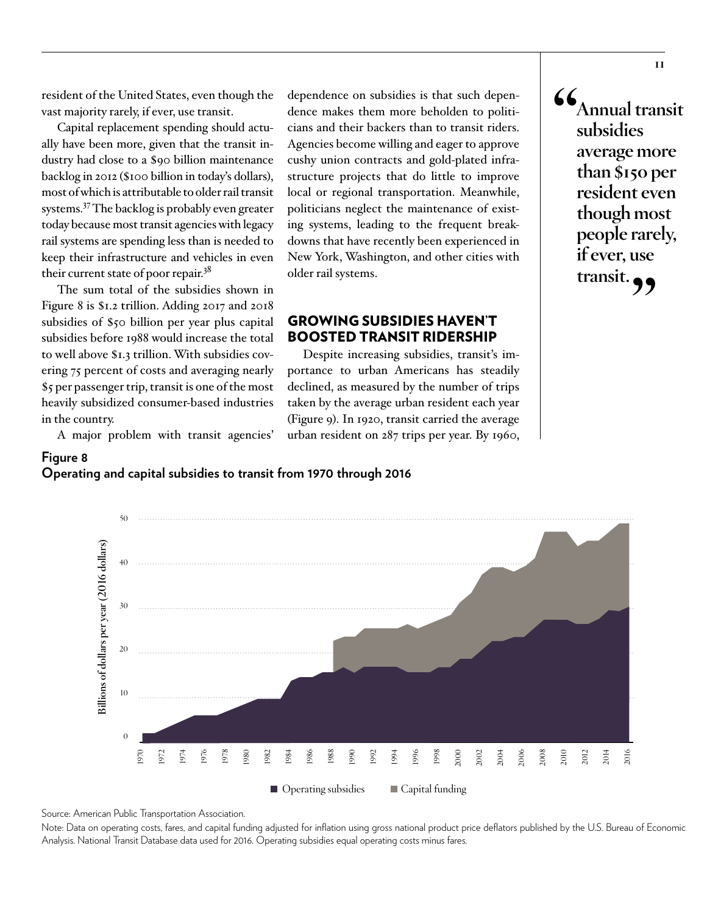resident of the United States, even though the vast majority rarely, if ever, use transit.

Capital replacement spending should actually have been more, given that the transit industry had close to a [\\$90 billion maintenance](https://www.fhwa.dot.gov/policy/2015cpr/pdfs/2015cpr.pdf)  [backlog](https://www.fhwa.dot.gov/policy/2015cpr/pdfs/2015cpr.pdf) in 2012 (\$100 billion in today's dollars), most of which is attributable to older rail transit systems.37 The backlog is probably even greater today because most transit agencies with legacy rail systems are spending less than is needed to keep their infrastructure and vehicles in even their current state of poor repair.<sup>38</sup>

The sum total of the subsidies shown in Figure 8 is \$1.2 trillion. Adding 2017 and 2018 subsidies of \$50 billion per year plus capital subsidies before 1988 would increase the total to well above \$1.3 trillion. With subsidies covering 75 percent of costs and averaging nearly \$5 per passenger trip, transit is one of the most heavily subsidized consumer-based industries in the country.

A major problem with transit agencies'

50

**Figure 8**

dependence on subsidies is that such dependence makes them more beholden to politicians and their backers than to transit riders. Agencies become willing and eager to approve cushy union contracts and gold-plated infrastructure projects that do little to improve local or regional transportation. Meanwhile, politicians neglect the maintenance of existing systems, leading to the frequent breakdowns that have recently been experienced in New York, Washington, and other cities with older rail systems.

### GROWING SUBSIDIES HAVEN'T BOOSTED TRANSIT RIDERSHIP

Despite increasing subsidies, transit's importance to urban Americans has steadily declined, as measured by the number of trips taken by the average urban resident each year (Figure 9). In 1920, transit carried the average urban resident on 287 trips per year. By 1960, **"Annual transit subsidies average more than \$150 per resident even though most people rarely, if ever, use transit."**

2016

**Operating and capital subsidies to transit from 1970 through 2016 Figure 8** Operating and capital subsidies to transit from 1970 through 2016



Source: American Public Transportation Association.

Note: Data on operating costs, fares, and capital funding adjusted for inflation using gross national product price deflators published by the U.S. Bureau of Economic Analysis. National Transit Database data used for 2016. Operating subsidies equal operating costs minus fares.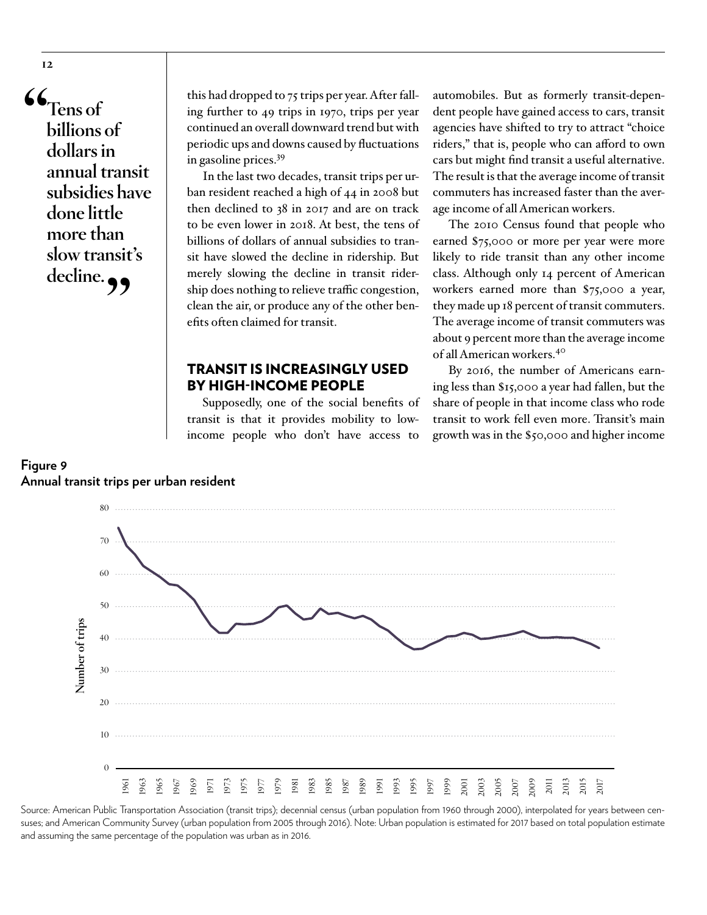**"Tens of billions of dollars in annual transit subsidies have done little more than slow transit's**  decline.

this had dropped to 75 trips per year. After falling further to 49 trips in 1970, trips per year continued an overall downward trend but with periodic ups and downs caused by fluctuations in gasoline prices.39

In the last two decades, transit trips per urban resident reached a high of 44 in 2008 but then declined to 38 in 2017 and are on track to be even lower in 2018. At best, the tens of billions of dollars of annual subsidies to transit have slowed the decline in ridership. But merely slowing the decline in transit ridership does nothing to relieve traffic congestion, clean the air, or produce any of the other benefits often claimed for transit.

### TRANSIT IS INCREASINGLY USED BY HIGH-INCOME PEOPLE

Supposedly, one of the social benefits of transit is that it provides mobility to lowincome people who don't have access to

automobiles. But as formerly transit-dependent people have gained access to cars, transit agencies have shifted to try to attract "choice riders," that is, people who can afford to own cars but might find transit a useful alternative. The result is that the average income of transit commuters has increased faster than the average income of all American workers.

The 2010 Census found that people who earned \$75,000 or more per year were more likely to ride transit than any other income class. Although only 14 percent of American workers earned more than \$75,000 a year, they made up 18 percent of transit commuters. The average income of transit commuters was about 9 percent more than the average income of all American workers.40

By 2016, the number of Americans earning less than \$15,000 a year had fallen, but the share of people in that income class who rode transit to work fell even more. Transit's main growth was in the \$50,000 and higher income



Source: American Public Transportation Association (transit trips); decennial census (urban population from 1960 through 2000), interpolated for years between censuses; and American Community Survey (urban population from 2005 through 2016). Note: Urban population is estimated for 2017 based on total population estimate and assuming the same percentage of the population was urban as in 2016.

## **Figure 9 Annual transit trips per urban resident Figure 9** Annual transit trips per urban resident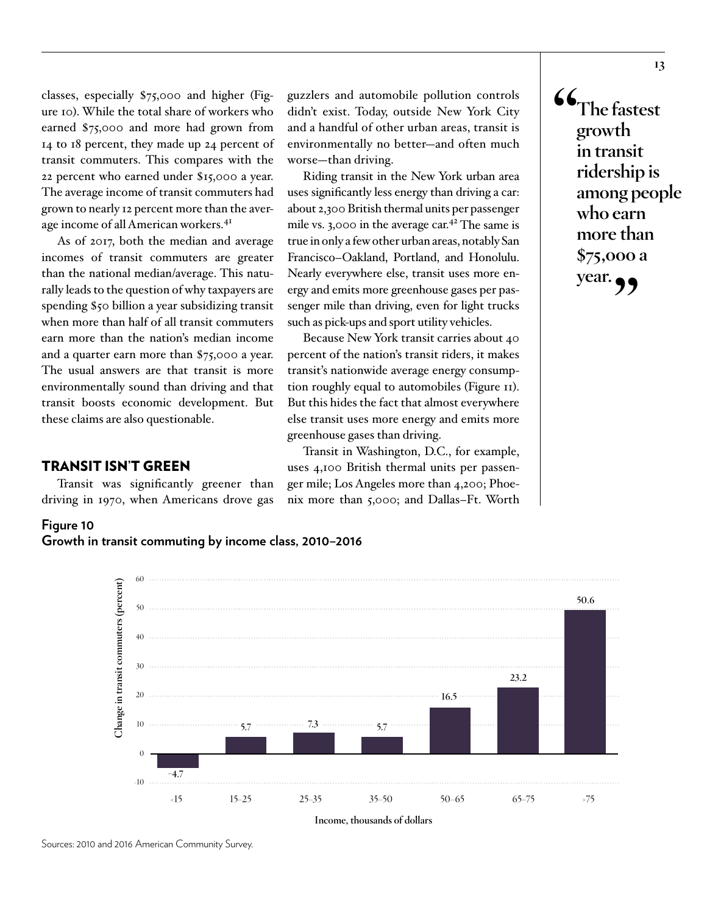classes, especially \$75,000 and higher (Figure 10). While the total share of workers who earned \$75,000 and more had grown from 14 to 18 percent, they made up 24 percent of transit commuters. This compares with the 22 percent who earned under \$15,000 a year. The average income of transit commuters had grown to nearly 12 percent more than the average income of all American workers.<sup>41</sup>

As of 2017, both the median and average incomes of transit commuters are greater than the national median/average. This naturally leads to the question of why taxpayers are spending \$50 billion a year subsidizing transit when more than half of all transit commuters earn more than the nation's median income and a quarter earn more than \$75,000 a year. The usual answers are that transit is more environmentally sound than driving and that transit boosts economic development. But these claims are also questionable.

### TRANSIT ISN'T GREEN

Transit was significantly greener than driving in 1970, when Americans drove gas

guzzlers and automobile pollution controls didn't exist. Today, outside New York City and a handful of other urban areas, transit is environmentally no better—and often much worse—than driving.

Riding transit in the New York urban area uses significantly less energy than driving a car: about 2,300 British thermal units per passenger mile vs. 3,000 in the average car.<sup>42</sup> The same is true in only a few other urban areas, notably San Francisco–Oakland, Portland, and Honolulu. Nearly everywhere else, transit uses more energy and emits more greenhouse gases per passenger mile than driving, even for light trucks such as pick-ups and sport utility vehicles.

Because New York transit carries about 40 percent of the nation's transit riders, it makes transit's nationwide average energy consumption roughly equal to automobiles (Figure 11). But this hides the fact that almost everywhere else transit uses more energy and emits more greenhouse gases than driving.

Transit in Washington, D.C., for example, uses 4,100 British thermal units per passenger mile; Los Angeles more than 4,200; Phoenix more than 5,000; and Dallas–Ft. Worth **"The fastest growth in transit ridership is among people who earn more than \$75,000 a year."**



**Growth in transit commuting by income class, 2010–2016 Figure 10** Growth in transit commuting by income class, 2010–2016



**Income, thousands of dollars**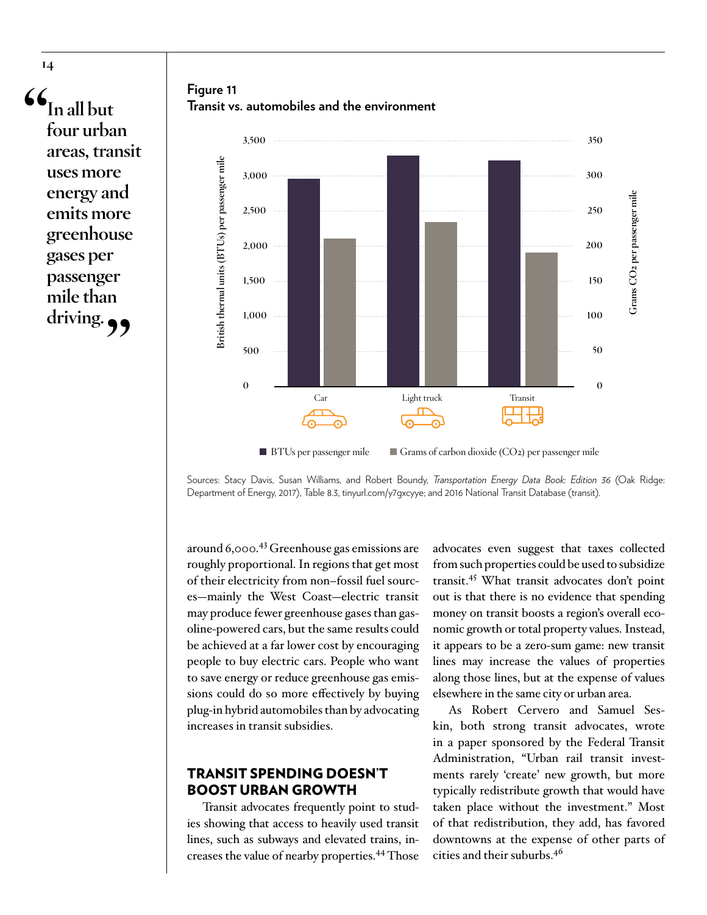**"In all but four urban areas, transit uses more energy and emits more greenhouse gases per passenger mile than driving."**

**Figure 11 Transit vs. automobiles and the environment Figure 11** Transit vs. automobiles and the environment



 $\Box$  BTUs per passenger mile  $\Box$  Grams of carbon dioxide (CO2) per passenger mile

Sources: Stacy Davis, Susan Williams, and Robert Boundy, *Transportation Energy Data Book: Edition 36* (Oak Ridge: Department of Energy, 2017), Table 8.3, [tinyurl.com/y7gxcyye](https://cta.ornl.gov/data/tedbfiles/Edition36_Full_Doc.pdf); and 2016 National Transit Database (transit).

around 6,000.43 Greenhouse gas emissions are roughly proportional. In regions that get most of their electricity from non–fossil fuel sources—mainly the West Coast—electric transit may produce fewer greenhouse gases than gasoline-powered cars, but the same results could be achieved at a far lower cost by encouraging people to buy electric cars. People who want to save energy or reduce greenhouse gas emissions could do so more effectively by buying plug-in hybrid automobiles than by advocating increases in transit subsidies.

### TRANSIT SPENDING DOESN'T BOOST URBAN GROWTH

Transit advocates frequently point to studies showing that access to heavily used transit lines, such as subways and elevated trains, increases the value of nearby properties.44 Those advocates even suggest that taxes collected from such properties could be used to subsidize transit.45 What transit advocates don't point out is that there is no evidence that spending money on transit boosts a region's overall economic growth or total property values. Instead, it appears to be a zero-sum game: new transit lines may increase the values of properties along those lines, but at the expense of values elsewhere in the same city or urban area.

As Robert Cervero and Samuel Seskin, both strong transit advocates, wrote in a paper sponsored by the Federal Transit Administration, "Urban rail transit investments rarely 'create' new growth, but more typically redistribute growth that would have taken place without the investment." Most of that redistribution, they add, has favored downtowns at the expense of other parts of cities and their suburbs.<sup>46</sup>

**14**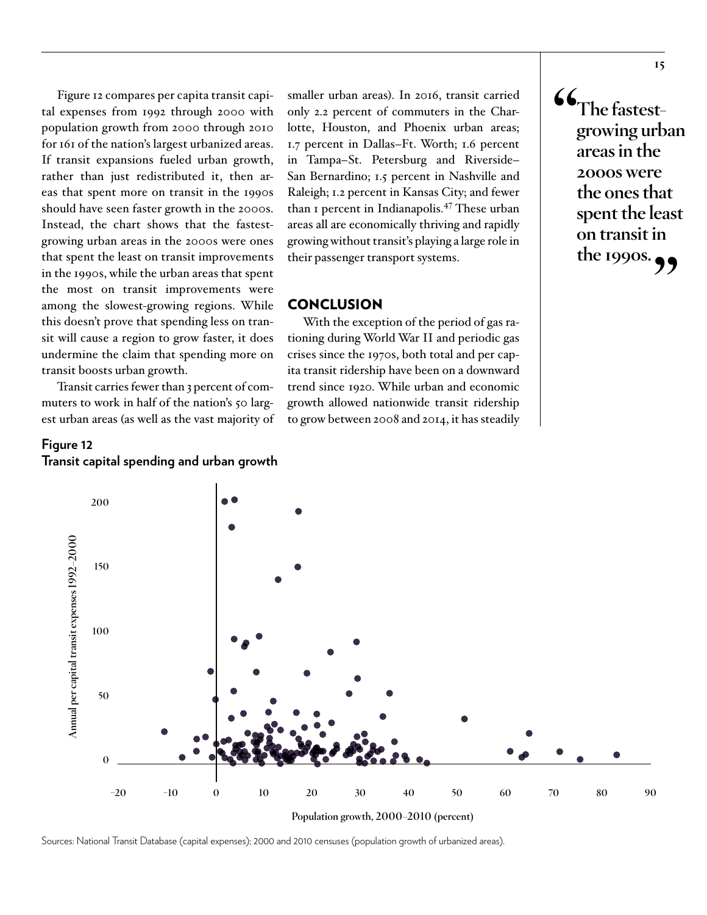Figure 12 compares per capita transit capital expenses from 1992 through 2000 with population growth from 2000 through 2010 for 161 of the nation's largest urbanized areas. If transit expansions fueled urban growth, rather than just redistributed it, then areas that spent more on transit in the 1990s should have seen faster growth in the 2000s. Instead, the chart shows that the fastestgrowing urban areas in the 2000s were ones that spent the least on transit improvements in the 1990s, while the urban areas that spent the most on transit improvements were among the slowest-growing regions. While this doesn't prove that spending less on transit will cause a region to grow faster, it does undermine the claim that spending more on transit boosts urban growth.

Transit carries fewer than 3 percent of commuters to work in half of the nation's 50 largest urban areas (as well as the vast majority of

### **Figure 12 Transit capital spending and urban growth Figure 12** Transit capital spending and urban growth

smaller urban areas). In 2016, transit carried only 2.2 percent of commuters in the Charlotte, Houston, and Phoenix urban areas; 1.7 percent in Dallas–Ft. Worth; 1.6 percent in Tampa–St. Petersburg and Riverside– San Bernardino; 1.5 percent in Nashville and Raleigh; 1.2 percent in Kansas City; and fewer than 1 percent in Indianapolis.47 These urban areas all are economically thriving and rapidly growing without transit's playing a large role in their passenger transport systems.

### **CONCLUSION**

With the exception of the period of gas rationing during World War II and periodic gas crises since the 1970s, both total and per capita transit ridership have been on a downward trend since 1920. While urban and economic growth allowed nationwide transit ridership to grow between 2008 and 2014, it has steadily **"The fastestgrowing urban areas in the 2000s were the ones that spent the least on transit in the 1990s."**



Sources: National Transit Database (capital expenses); 2000 and 2010 censuses (population growth of urbanized areas).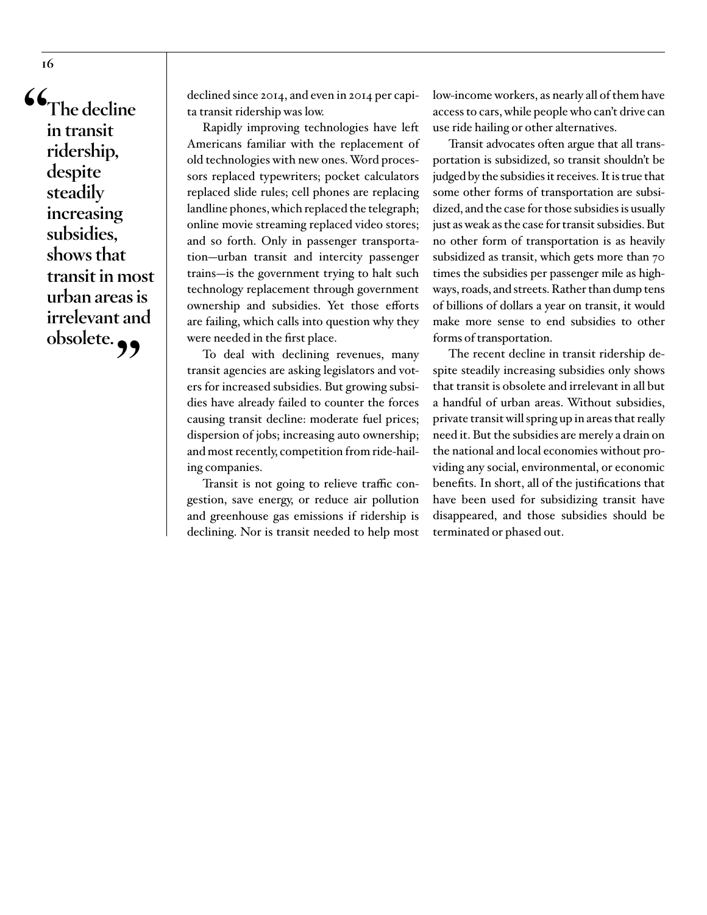**"The decline in transit ridership, despite steadily increasing subsidies, shows that transit in most urban areas is irrelevant and obsolete."**

**16**

declined since 2014, and even in 2014 per capita transit ridership was low.

Rapidly improving technologies have left Americans familiar with the replacement of old technologies with new ones. Word processors replaced typewriters; pocket calculators replaced slide rules; cell phones are replacing landline phones, which replaced the telegraph; online movie streaming replaced video stores; and so forth. Only in passenger transportation—urban transit and intercity passenger trains—is the government trying to halt such technology replacement through government ownership and subsidies. Yet those efforts are failing, which calls into question why they were needed in the first place.

To deal with declining revenues, many transit agencies are asking legislators and voters for increased subsidies. But growing subsidies have already failed to counter the forces causing transit decline: moderate fuel prices; dispersion of jobs; increasing auto ownership; and most recently, competition from ride-hailing companies.

Transit is not going to relieve traffic congestion, save energy, or reduce air pollution and greenhouse gas emissions if ridership is declining. Nor is transit needed to help most

low-income workers, as nearly all of them have access to cars, while people who can't drive can use ride hailing or other alternatives.

Transit advocates often argue that all transportation is subsidized, so transit shouldn't be judged by the subsidies it receives. It is true that some other forms of transportation are subsidized, and the case for those subsidies is usually just as weak as the case for transit subsidies. But no other form of transportation is as heavily subsidized as transit, which gets more than 70 times the subsidies per passenger mile as highways, roads, and streets. Rather than dump tens of billions of dollars a year on transit, it would make more sense to end subsidies to other forms of transportation.

The recent decline in transit ridership despite steadily increasing subsidies only shows that transit is obsolete and irrelevant in all but a handful of urban areas. Without subsidies, private transit will spring up in areas that really need it. But the subsidies are merely a drain on the national and local economies without providing any social, environmental, or economic benefits. In short, all of the justifications that have been used for subsidizing transit have disappeared, and those subsidies should be terminated or phased out.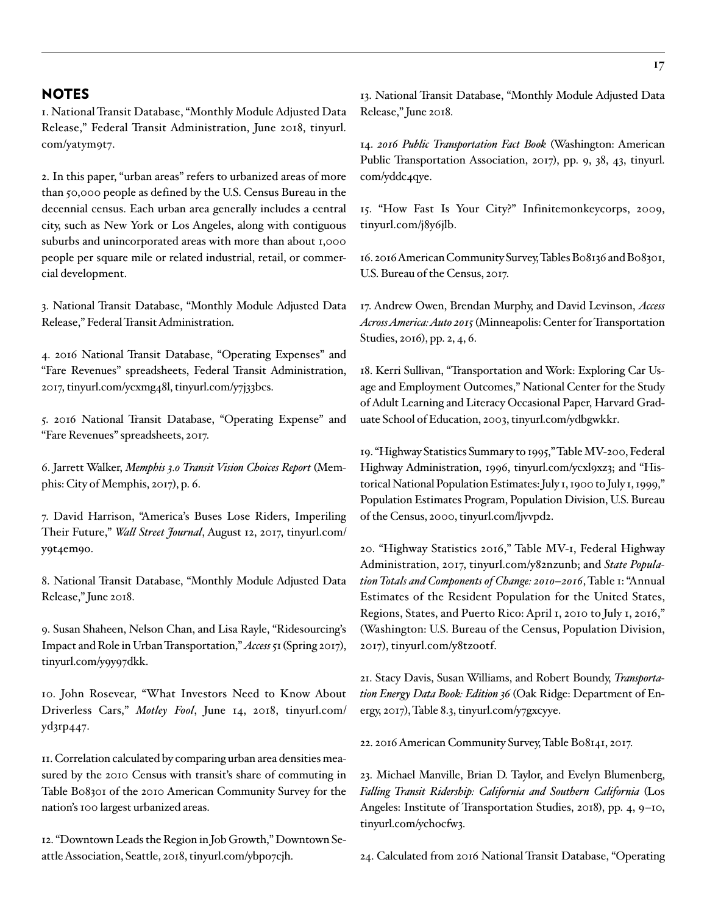### NOTES

1. National Transit Database, "Monthly Module Adjusted Data Release," Federal Transit Administration, June 2018, [tinyurl.](https://www.transit.dot.gov/ntd/data-product/monthly-module-adjusted-data-release) [com/yatym9t7](https://www.transit.dot.gov/ntd/data-product/monthly-module-adjusted-data-release).

2. In this paper, "urban areas" refers to urbanized areas of more than 50,000 people as defined by the U.S. Census Bureau in the decennial census. Each urban area generally includes a central city, such as New York or Los Angeles, along with contiguous suburbs and unincorporated areas with more than about 1,000 people per square mile or related industrial, retail, or commercial development.

3. National Transit Database, "Monthly Module Adjusted Data Release," Federal Transit Administration.

4. 2016 National Transit Database, "Operating Expenses" and "Fare Revenues" spreadsheets, Federal Transit Administration, 2017, [tinyurl.com/ycxmg48l](https://www.transit.dot.gov/ntd/data-product/2016-annual-database-operating-expense-0), [tinyurl.com/y7j33bcs.](https://www.transit.dot.gov/ntd/data-product/2016-annual-database-fare-revenue-0)

5. 2016 National Transit Database, "Operating Expense" and "Fare Revenues" spreadsheets, 2017.

6. Jarrett Walker, *Memphis 3.0 Transit Vision Choices Report* (Memphis: City of Memphis, 2017), p. 6.

7. David Harrison, "America's Buses Lose Riders, Imperiling Their Future," *Wall Street Journal*, August 12, 2017, [tinyurl.com/](https://www.wsj.com/articles/americas-city-buses-lose-momentum-1502539200) [y9t4em9o](https://www.wsj.com/articles/americas-city-buses-lose-momentum-1502539200).

8. National Transit Database, "Monthly Module Adjusted Data Release," June 2018.

9. Susan Shaheen, Nelson Chan, and Lisa Rayle, "Ridesourcing's Impact and Role in Urban Transportation," *Access* 51 (Spring 2017), [tinyurl.com/y9y97dkk](https://www.accessmagazine.org/spring-2017/ridesourcings-impact-and-role-in-urban-transportation/).

10. John Rosevear, "What Investors Need to Know About Driverless Cars," *Motley Fool*, June 14, 2018, [tinyurl.com/](https://www.fool.com/investing/2018/06/14/what-investors-need-to-know-about-driverless-cars.aspx?,&source=awin&awc=12195_1535755623_8546b0beb20738afc15f77e8f76d85d0&utm_source=aw&utm_medium=affiliate&utm_campaign=271445) [yd3rp447](https://www.fool.com/investing/2018/06/14/what-investors-need-to-know-about-driverless-cars.aspx?,&source=awin&awc=12195_1535755623_8546b0beb20738afc15f77e8f76d85d0&utm_source=aw&utm_medium=affiliate&utm_campaign=271445).

11. Correlation calculated by comparing urban area densities measured by the 2010 Census with transit's share of commuting in Table B08301 of the 2010 American Community Survey for the nation's 100 largest urbanized areas.

12. "Downtown Leads the Region in Job Growth," Downtown Seattle Association, Seattle, 2018, [tinyurl.com/ybpo7cjh.](https://downtownseattle.org/programs-and-services/research-and-development/employment/)

13. National Transit Database, "Monthly Module Adjusted Data Release," June 2018.

14. *2016 Public Transportation Fact Book* (Washington: American Public Transportation Association, 2017), pp. 9, 38, 43, [tinyurl.](https://www.apta.com/resources/statistics/Documents/FactBook/2016-APTA-Fact-Book.pdf) [com/yddc4qye.](https://www.apta.com/resources/statistics/Documents/FactBook/2016-APTA-Fact-Book.pdf)

15. "How Fast Is Your City?" Infinitemonkeycorps, 2009, [tinyurl.com/j8y6jlb](http://infinitemonkeycorps.net/projects/cityspeed/).

16. 2016 American Community Survey, Tables B08136 and B08301, U.S. Bureau of the Census, 2017.

17. Andrew Owen, Brendan Murphy, and David Levinson, *Access Across America: Auto 2015* (Minneapolis: Center for Transportation Studies, 2016), pp. 2, 4, 6.

18. Kerri Sullivan, "Transportation and Work: Exploring Car Usage and Employment Outcomes," National Center for the Study of Adult Learning and Literacy Occasional Paper, Harvard Graduate School of Education, 2003, [tinyurl.com/ydbgwkkr](http://www.ncsall.net/fileadmin/resources/research/op_sullivan.pdf).

19. "Highway Statistics Summary to 1995," Table MV-200, Federal Highway Administration, 1996, [tinyurl.com/ycxl9xz3](https://www.fhwa.dot.gov/ohim/summary95/mv200.pdf); and "Historical National Population Estimates: July 1, 1900 to July 1, 1999," Population Estimates Program, Population Division, U.S. Bureau of the Census, 2000, [tinyurl.com/ljvvpd2](https://www.census.gov/population/estimates/nation/popclockest.txt).

20. "Highway Statistics 2016," Table MV-1, Federal Highway Administration, 2017, [tinyurl.com/y82nzunb](https://www.fhwa.dot.gov/policyinformation/statistics/2016/mv1.cfm); and *State Population Totals and Components of Change: 2010–2016*, Table 1: "Annual Estimates of the Resident Population for the United States, Regions, States, and Puerto Rico: April 1, 2010 to July 1, 2016," (Washington: U.S. Bureau of the Census, Population Division, 2017), [tinyurl.com/y8tzootf.](https://www2.census.gov/programs-surveys/popest/tables/2010-2016/state/totals/nst-est2016-01.xlsx)

21. Stacy Davis, Susan Williams, and Robert Boundy, *Transportation Energy Data Book: Edition 36* (Oak Ridge: Department of Energy, 2017), Table 8.3, [tinyurl.com/y7gxcyye.](https://cta.ornl.gov/data/tedbfiles/Edition36_Full_Doc.pdf)

22. 2016 American Community Survey, Table B08141, 2017.

23. Michael Manville, Brian D. Taylor, and Evelyn Blumenberg, *Falling Transit Ridership: California and Southern California* (Los Angeles: Institute of Transportation Studies, 2018), pp. 4, 9–10, [tinyurl.com/ychocfw3.](http://www.scag.ca.gov/Documents/ITS_SCAG_Transit_Ridership.pdf)

24. Calculated from 2016 National Transit Database, "Operating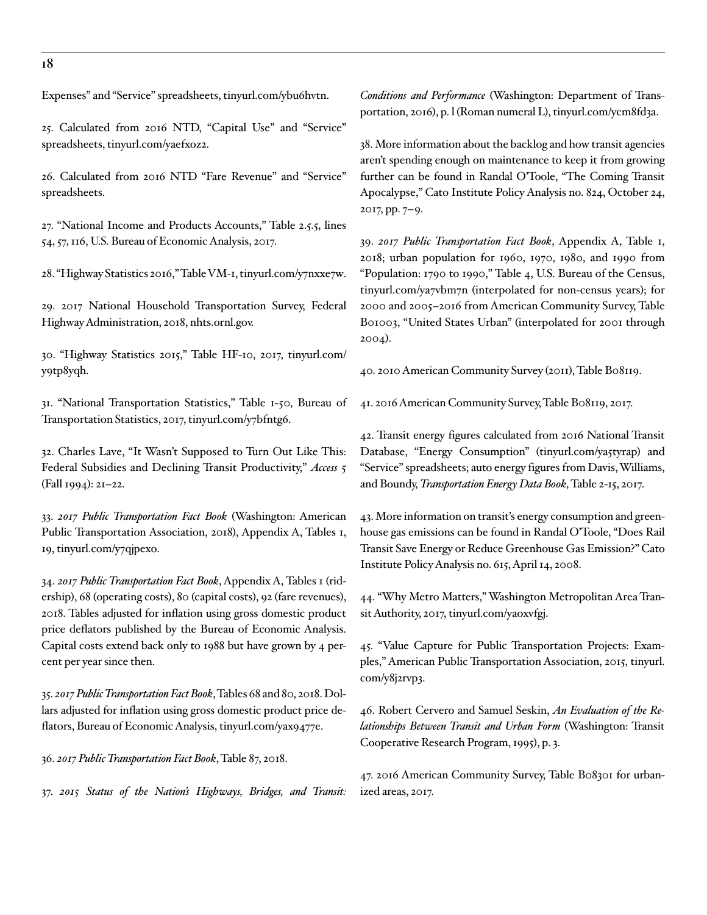Expenses" and "Service" spreadsheets, [tinyurl.com/ybu6hvtn.](https://www.transit.dot.gov/ntd/data-product/2016-annual-database-service-0)

25. Calculated from 2016 NTD, "Capital Use" and "Service" spreadsheets, [tinyurl.com/yaefxoz2.](https://www.transit.dot.gov/ntd/data-product/2016-annual-database-capital-use-0)

26. Calculated from 2016 NTD "Fare Revenue" and "Service" spreadsheets.

27. "National Income and Products Accounts," Table 2.5.5, lines 54, 57, 116, U.S. Bureau of Economic Analysis, 2017.

28. "Highway Statistics 2016," Table VM-1, [tinyurl.com/y7nxxe7w.](https://www.fhwa.dot.gov/policyinformation/statistics/2016/vm1.cfm)

29. 2017 National Household Transportation Survey, Federal Highway Administration, 2018, nhts.ornl.gov.

30. "Highway Statistics 2015," Table HF-10, 2017, [tinyurl.com/](https://www.fhwa.dot.gov/policyinformation/statistics/2015/hf10.cfm) [y9tp8yqh.](https://www.fhwa.dot.gov/policyinformation/statistics/2015/hf10.cfm)

31. "National Transportation Statistics," Table 1-50, Bureau of Transportation Statistics, 2017, [tinyurl.com/y7bfntg6.](https://www.bts.gov/content/us-ton-miles-freight)

32. Charles Lave, "It Wasn't Supposed to Turn Out Like This: Federal Subsidies and Declining Transit Productivity," *Access* 5 (Fall 1994): 21–22.

33. *2017 Public Transportation Fact Book* (Washington: American Public Transportation Association, 2018), Appendix A, Tables 1, 19, [tinyurl.com/y7qjpexo.](https://www.apta.com/resources/statistics/Documents/FactBook/2017-APTA-Fact-Book.pdf)

34. *2017 Public Transportation Fact Book*, Appendix A, Tables 1 (ridership), 68 (operating costs), 80 (capital costs), 92 (fare revenues), 2018. Tables adjusted for inflation using gross domestic product price deflators published by the Bureau of Economic Analysis. Capital costs extend back only to 1988 but have grown by 4 percent per year since then.

35. *2017 Public Transportation Fact Book*, Tables 68 and 80, 2018. Dollars adjusted for inflation using gross domestic product price deflators, Bureau of Economic Analysis, [tinyurl.com/yax9477e.](https://www.bea.gov/national/xls/gdplev.xlsx)

36. *2017 Public Transportation Fact Book*, Table 87, 2018.

37. *2015 Status of the Nation's Highways, Bridges, and Transit:* 

*Conditions and Performance* (Washington: Department of Transportation, 2016), p. l (Roman numeral L), [tinyurl.com/ycm8fd3a](https://www.fhwa.dot.gov/policy/2015cpr/pdfs/2015cpr.pdf).

38. More information about the backlog and how transit agencies aren't spending enough on maintenance to keep it from growing further can be found in Randal O'Toole, "The Coming Transit Apocalypse," Cato Institute Policy Analysis no. 824, October 24, 2017, pp. 7–9.

39. *2017 Public Transportation Fact Book*, Appendix A, Table 1, 2018; urban population for 1960, 1970, 1980, and 1990 from "Population: 1790 to 1990," Table 4, U.S. Bureau of the Census, [tinyurl.com/ya7vbm7n](https://www.census.gov/population/censusdata/table-4.pdf) (interpolated for non-census years); for 2000 and 2005–2016 from American Community Survey, Table B01003, "United States Urban" (interpolated for 2001 through 2004).

40. 2010 American Community Survey (2011), Table B08119.

41. 2016 American Community Survey, Table B08119, 2017.

42. Transit energy figures calculated from 2016 National Transit Database, "Energy Consumption" [\(tinyurl.com/ya5tyrap](https://www.transit.dot.gov/ntd/data-product/2016-annual-database-energy-consumption-0)) and "Service" spreadsheets; auto energy figures from Davis, Williams, and Boundy, *Transportation Energy Data Book*, Table 2-15, 2017.

43. More information on transit's energy consumption and greenhouse gas emissions can be found in Randal O'Toole, "Does Rail Transit Save Energy or Reduce Greenhouse Gas Emission?" Cato Institute Policy Analysis no. 615, April 14, 2008.

44. "Why Metro Matters," Washington Metropolitan Area Transit Authority, 2017, [tinyurl.com/yaoxvfgj.](https://www.wmata.com/initiatives/case-for-transit/)

45. "Value Capture for Public Transportation Projects: Examples," American Public Transportation Association, 2015, [tinyurl.](https://www.apta.com/resources/reportsandpublications/Documents/APTA-Value-Capture-2015.pdf) [com/y8j2rvp3.](https://www.apta.com/resources/reportsandpublications/Documents/APTA-Value-Capture-2015.pdf)

46. Robert Cervero and Samuel Seskin, *An Evaluation of the Relationships Between Transit and Urban Form* (Washington: Transit Cooperative Research Program, 1995), p. 3.

47. 2016 American Community Survey, Table B08301 for urbanized areas, 2017.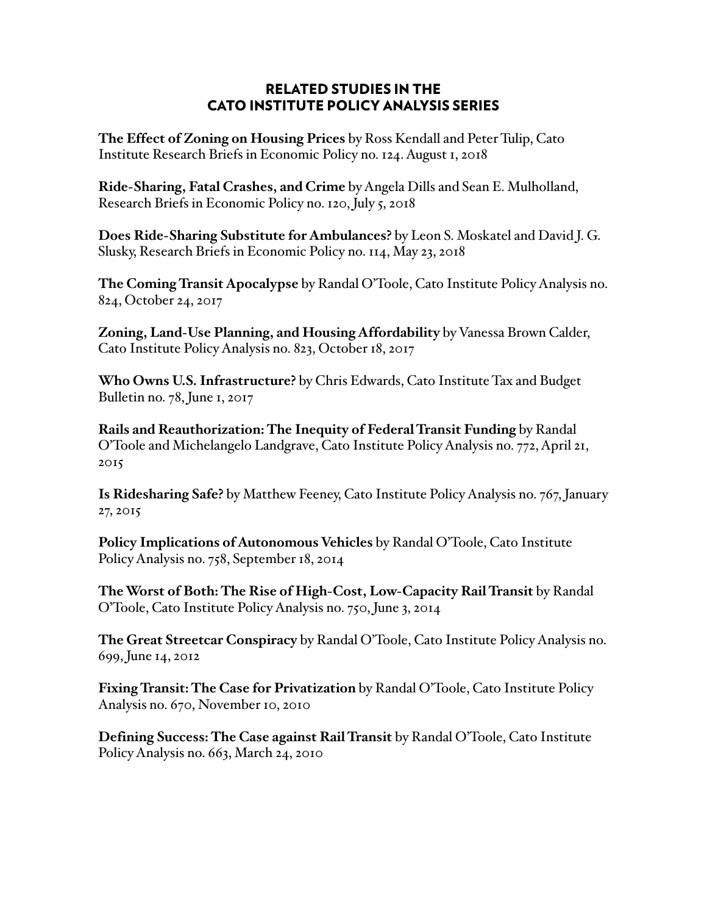### RELATED STUDIES IN THE CATO INSTITUTE POLICY ANALYSIS SERIES

**The Effect of Zoning on Housing Prices** by Ross Kendall and Peter Tulip, Cato Institute Research Briefs in Economic Policy no. 124. August 1, 2018

**Ride-Sharing, Fatal Crashes, and Crime** by Angela Dills and Sean E. Mulholland, Research Briefs in Economic Policy no. 120, July 5, 2018

**Does Ride-Sharing Substitute for Ambulances?** by Leon S. Moskatel and David J. G. Slusky, Research Briefs in Economic Policy no. 114, May 23, 2018

**The Coming Transit Apocalypse** by Randal O'Toole, Cato Institute Policy Analysis no. 824, October 24, 2017

**Zoning, Land-Use Planning, and Housing Affordability** by Vanessa Brown Calder, Cato Institute Policy Analysis no. 823, October 18, 2017

**Who Owns U.S. Infrastructure?** by Chris Edwards, Cato Institute Tax and Budget Bulletin no. 78, June 1, 2017

**Rails and Reauthorization: The Inequity of Federal Transit Funding** by Randal O'Toole and Michelangelo Landgrave, Cato Institute Policy Analysis no. 772, April 21, 2015

**Is Ridesharing Safe?** by Matthew Feeney, Cato Institute Policy Analysis no. 767, January 27, 2015

**Policy Implications of Autonomous Vehicles** by Randal O'Toole, Cato Institute Policy Analysis no. 758, September 18, 2014

**The Worst of Both: The Rise of High-Cost, Low-Capacity Rail Transit** by Randal O'Toole, Cato Institute Policy Analysis no. 750, June 3, 2014

**The Great Streetcar Conspiracy** by Randal O'Toole, Cato Institute Policy Analysis no. 699, June 14, 2012

**Fixing Transit: The Case for Privatization** by Randal O'Toole, Cato Institute Policy Analysis no. 670, November 10, 2010

**Defining Success: The Case against Rail Transit** by Randal O'Toole, Cato Institute Policy Analysis no. 663, March 24, 2010